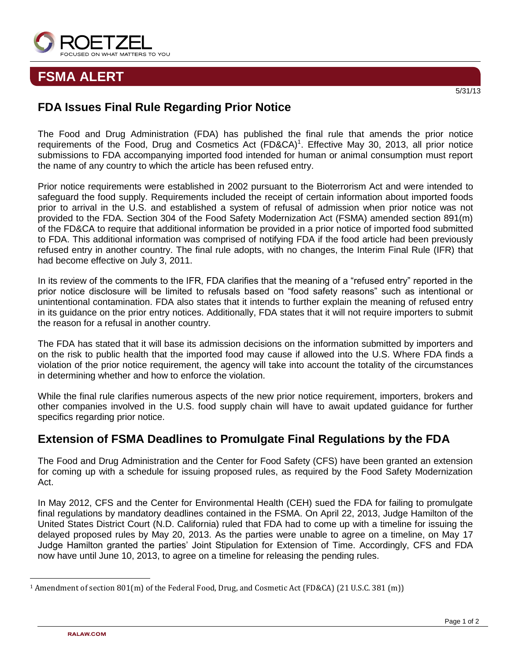

## **FSMA ALERT**

## **FDA Issues Final Rule Regarding Prior Notice**

The Food and Drug Administration (FDA) has published the final rule that amends the prior notice requirements of the Food, Drug and Cosmetics Act (FD&CA)<sup>1</sup>. Effective May 30, 2013, all prior notice submissions to FDA accompanying imported food intended for human or animal consumption must report the name of any country to which the article has been refused entry.

Prior notice requirements were established in 2002 pursuant to the Bioterrorism Act and were intended to safeguard the food supply. Requirements included the receipt of certain information about imported foods prior to arrival in the U.S. and established a system of refusal of admission when prior notice was not provided to the FDA. Section 304 of the Food Safety Modernization Act (FSMA) amended section 891(m) of the FD&CA to require that additional information be provided in a prior notice of imported food submitted to FDA. This additional information was comprised of notifying FDA if the food article had been previously refused entry in another country. The final rule adopts, with no changes, the Interim Final Rule (IFR) that had become effective on July 3, 2011.

In its review of the comments to the IFR, FDA clarifies that the meaning of a "refused entry" reported in the prior notice disclosure will be limited to refusals based on "food safety reasons" such as intentional or unintentional contamination. FDA also states that it intends to further explain the meaning of refused entry in its guidance on the prior entry notices. Additionally, FDA states that it will not require importers to submit the reason for a refusal in another country.

The FDA has stated that it will base its admission decisions on the information submitted by importers and on the risk to public health that the imported food may cause if allowed into the U.S. Where FDA finds a violation of the prior notice requirement, the agency will take into account the totality of the circumstances in determining whether and how to enforce the violation.

While the final rule clarifies numerous aspects of the new prior notice requirement, importers, brokers and other companies involved in the U.S. food supply chain will have to await updated guidance for further specifics regarding prior notice.

## **Extension of FSMA Deadlines to Promulgate Final Regulations by the FDA**

The Food and Drug Administration and the Center for Food Safety (CFS) have been granted an extension for coming up with a schedule for issuing proposed rules, as required by the Food Safety Modernization Act.

In May 2012, CFS and the Center for Environmental Health (CEH) sued the FDA for failing to promulgate final regulations by mandatory deadlines contained in the FSMA. On April 22, 2013, Judge Hamilton of the United States District Court (N.D. California) ruled that FDA had to come up with a timeline for issuing the delayed proposed rules by May 20, 2013. As the parties were unable to agree on a timeline, on May 17 Judge Hamilton granted the parties' Joint Stipulation for Extension of Time. Accordingly, CFS and FDA now have until June 10, 2013, to agree on a timeline for releasing the pending rules.

 $\overline{a}$ 

<sup>1</sup> Amendment of section 801(m) of the Federal Food, Drug, and Cosmetic Act (FD&CA) (21 U.S.C. 381 (m))